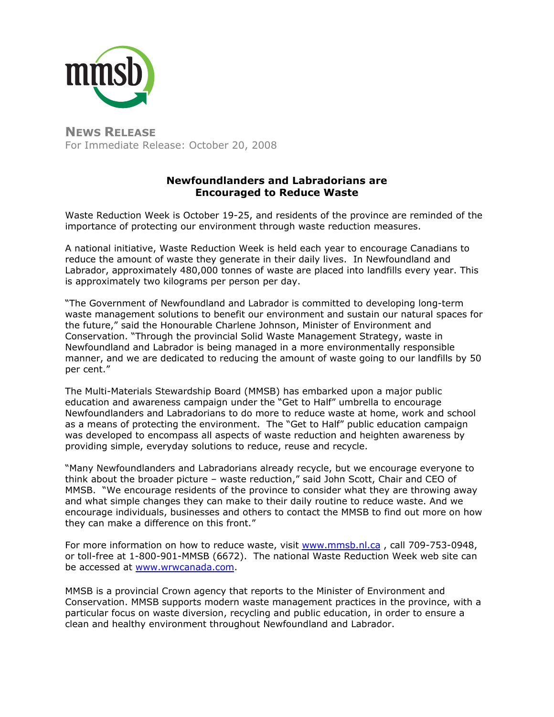

**NEWS RELEASE** For Immediate Release: October 20, 2008

## **Newfoundlanders and Labradorians are Encouraged to Reduce Waste**

Waste Reduction Week is October 19-25, and residents of the province are reminded of the importance of protecting our environment through waste reduction measures.

A national initiative, Waste Reduction Week is held each year to encourage Canadians to reduce the amount of waste they generate in their daily lives. In Newfoundland and Labrador, approximately 480,000 tonnes of waste are placed into landfills every year. This is approximately two kilograms per person per day.

"The Government of Newfoundland and Labrador is committed to developing long-term waste management solutions to benefit our environment and sustain our natural spaces for the future," said the Honourable Charlene Johnson, Minister of Environment and Conservation. "Through the provincial Solid Waste Management Strategy, waste in Newfoundland and Labrador is being managed in a more environmentally responsible manner, and we are dedicated to reducing the amount of waste going to our landfills by 50 per cent."

The Multi-Materials Stewardship Board (MMSB) has embarked upon a major public education and awareness campaign under the "Get to Half" umbrella to encourage Newfoundlanders and Labradorians to do more to reduce waste at home, work and school as a means of protecting the environment. The "Get to Half" public education campaign was developed to encompass all aspects of waste reduction and heighten awareness by providing simple, everyday solutions to reduce, reuse and recycle.

"Many Newfoundlanders and Labradorians already recycle, but we encourage everyone to think about the broader picture – waste reduction," said John Scott, Chair and CEO of MMSB. "We encourage residents of the province to consider what they are throwing away and what simple changes they can make to their daily routine to reduce waste. And we encourage individuals, businesses and others to contact the MMSB to find out more on how they can make a difference on this front."

For more information on how to reduce waste, visit [www.mmsb.nl.ca](http://www.mmsb.nl.ca/) , call 709-753-0948, or toll-free at 1-800-901-MMSB (6672). The national Waste Reduction Week web site can be accessed at [www.wrwcanada.com.](http://www.wrwcanada.com/)

MMSB is a provincial Crown agency that reports to the Minister of Environment and Conservation. MMSB supports modern waste management practices in the province, with a particular focus on waste diversion, recycling and public education, in order to ensure a clean and healthy environment throughout Newfoundland and Labrador.